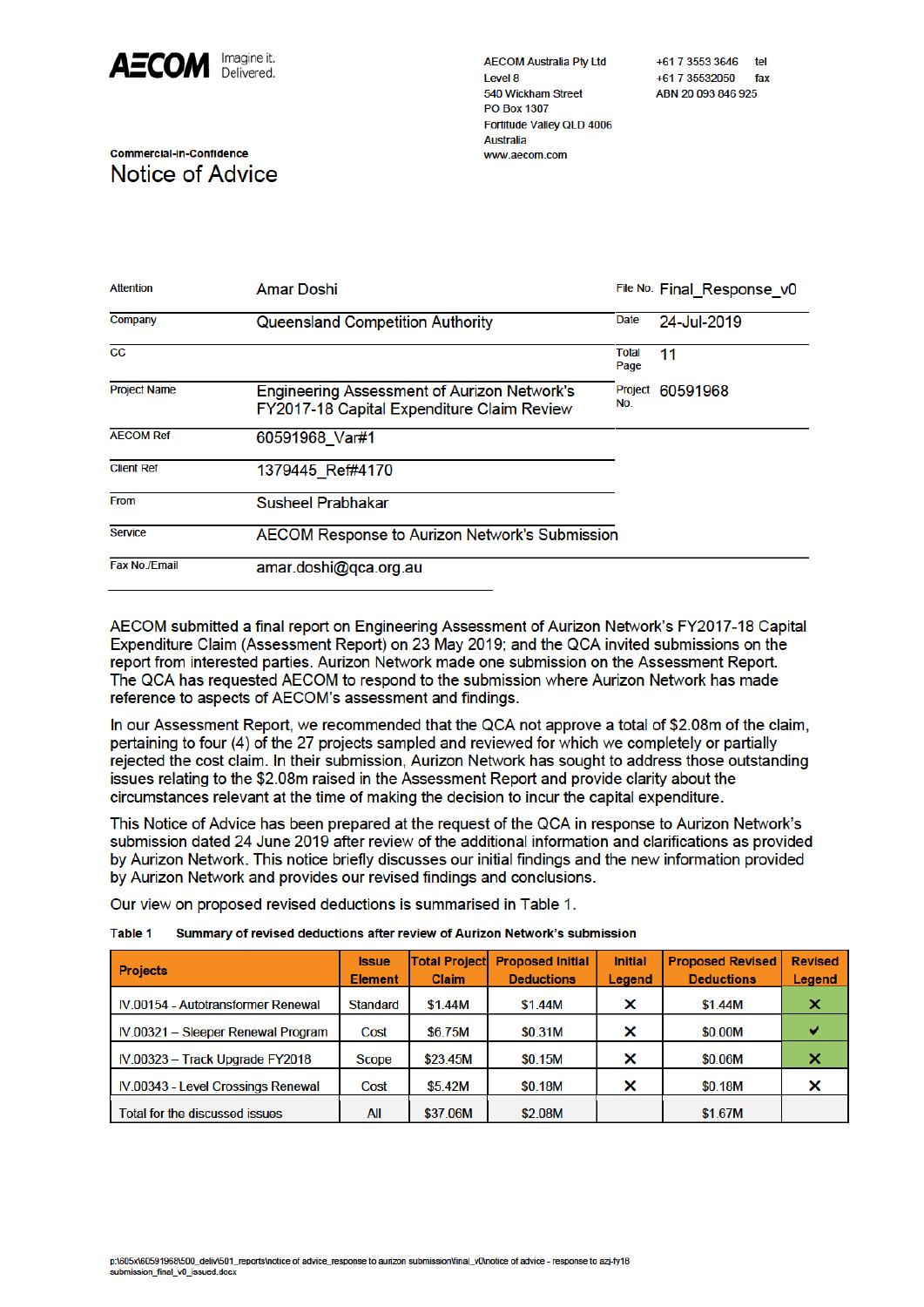

Commercial-in-Confidence

Notice of Advice

**AECOM Australia Pty Ltd** Level 8 540 Wickham Street PO Box 1307 Fortitude Valley QLD 4006 **Australia** www.aecom.com

**Attention Amar Doshi** File No. Final Response v0 Company Queensland Competition Authority **Date** 24-Jul-2019  $\overline{cc}$ Total  $11$ Page **Project Name Engineering Assessment of Aurizon Network's** Project 60591968 No. FY2017-18 Capital Expenditure Claim Review **AFCOM Ref** 60591968 Var#1 **Client Ref** 1379445 Ref#4170 From **Susheel Prabhakar Service AECOM Response to Aurizon Network's Submission** Fax No./Email amar.doshi@qca.org.au

AECOM submitted a final report on Engineering Assessment of Aurizon Network's FY2017-18 Capital Expenditure Claim (Assessment Report) on 23 May 2019; and the QCA invited submissions on the report from interested parties. Aurizon Network made one submission on the Assessment Report. The QCA has requested AECOM to respond to the submission where Aurizon Network has made reference to aspects of AECOM's assessment and findings.

In our Assessment Report, we recommended that the QCA not approve a total of \$2.08m of the claim. pertaining to four (4) of the 27 projects sampled and reviewed for which we completely or partially rejected the cost claim. In their submission, Aurizon Network has sought to address those outstanding issues relating to the \$2.08m raised in the Assessment Report and provide clarity about the circumstances relevant at the time of making the decision to incur the capital expenditure.

This Notice of Advice has been prepared at the request of the QCA in response to Aurizon Network's submission dated 24 June 2019 after review of the additional information and clarifications as provided by Aurizon Network. This notice briefly discusses our initial findings and the new information provided by Aurizon Network and provides our revised findings and conclusions.

Our view on proposed revised deductions is summarised in Table 1.

| <b>Projects</b>                           | <b>Issue</b><br><b>Element</b> | <b>Total Project</b><br>Claim | <b>Proposed Initial</b><br><b>Deductions</b> | <b>Initial</b><br>Legend | <b>Proposed Revised</b><br><b>Deductions</b> | <b>Revised</b><br>Legend |
|-------------------------------------------|--------------------------------|-------------------------------|----------------------------------------------|--------------------------|----------------------------------------------|--------------------------|
| <b>IV.00154 - Autotransformer Renewal</b> | <b>Standard</b>                | \$1.44M                       | \$1.44M                                      | ×                        | \$1.44M                                      | x                        |
| IV.00321 - Sleeper Renewal Program        | Cost                           | \$6.75M                       | \$0.31M                                      | ×                        | \$0.00M                                      |                          |
| IV.00323 - Track Upgrade FY2018           | <b>Scope</b>                   | \$23.45M                      | \$0.15M                                      | ×                        | \$0.06M                                      | x                        |
| IV.00343 - Level Crossings Renewal        | Cost                           | \$5.42M                       | \$0.18M                                      | ×                        | \$0.18M                                      | ×                        |
| Total for the discussed issues            | All                            | \$37,06M                      | \$2.08M                                      |                          | \$1.67M                                      |                          |

**Table 1** Summary of revised deductions after review of Aurizon Network's submission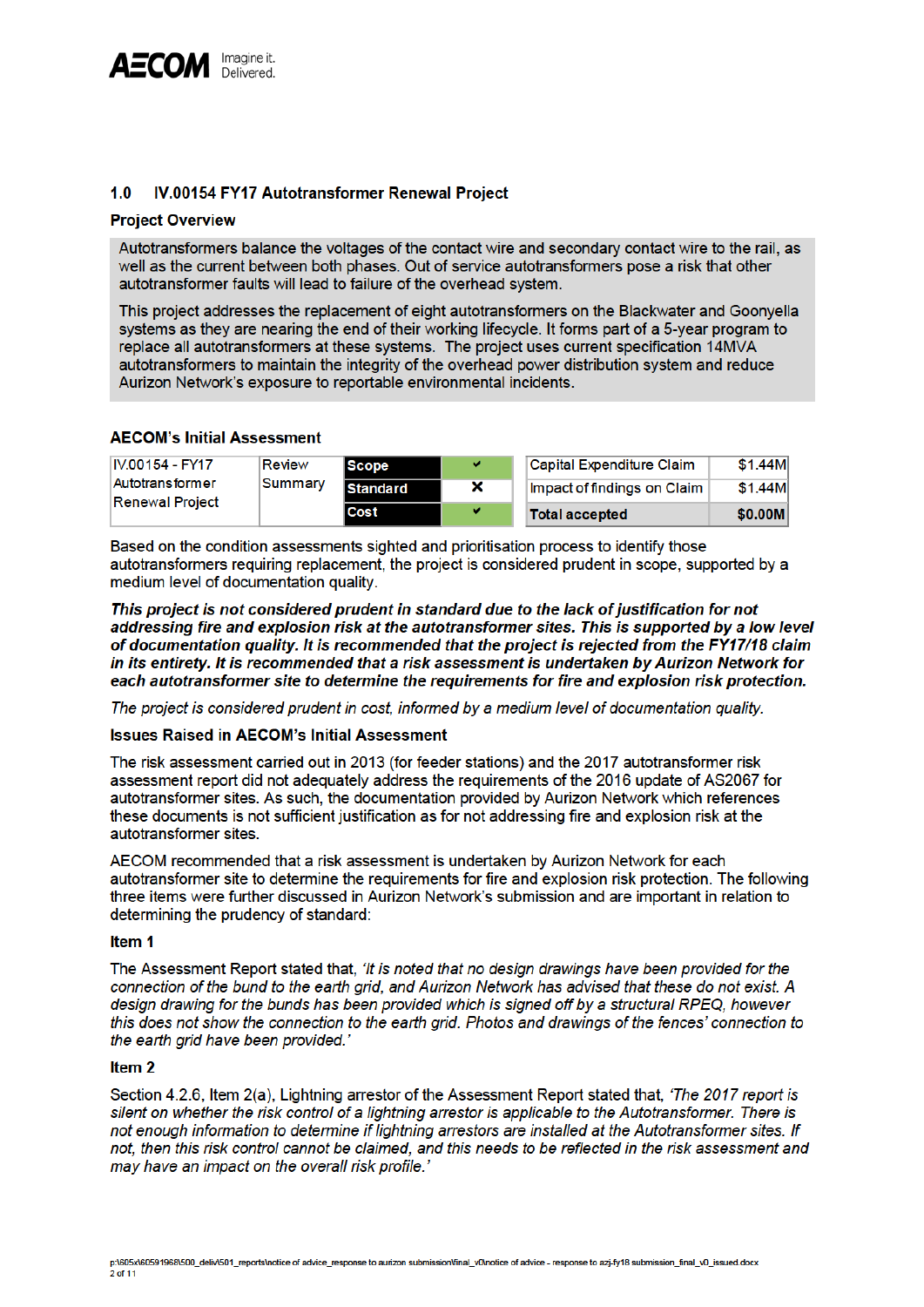

#### $1.0$ IV.00154 FY17 Autotransformer Renewal Project

## **Project Overview**

Autotransformers balance the voltages of the contact wire and secondary contact wire to the rail, as well as the current between both phases. Out of service autotransformers pose a risk that other autotransformer faults will lead to failure of the overhead system.

This project addresses the replacement of eight autotransformers on the Blackwater and Goonyella systems as they are nearing the end of their working lifecycle. It forms part of a 5-year program to replace all autotransformers at these systems. The project uses current specification 14MVA autotransformers to maintain the integrity of the overhead power distribution system and reduce Aurizon Network's exposure to reportable environmental incidents.

# **AECOM's Initial Assessment**

| IV.00154 - FY17        | Review  | <b>Scope</b>    | v | Capital Expenditure Claim   | \$1.44M |
|------------------------|---------|-----------------|---|-----------------------------|---------|
| <b>Autotransformer</b> | Summary | <b>Standard</b> | × | Impact of findings on Claim | \$1.44M |
| <b>Renewal Project</b> |         | Cost            | v | <b>Total accepted</b>       | \$0.00M |

Based on the condition assessments sighted and prioritisation process to identify those autotransformers requiring replacement, the project is considered prudent in scope, supported by a medium level of documentation quality.

This project is not considered prudent in standard due to the lack of justification for not addressing fire and explosion risk at the autotransformer sites. This is supported by a low level of documentation quality. It is recommended that the project is rejected from the FY17/18 claim in its entirety. It is recommended that a risk assessment is undertaken by Aurizon Network for each autotransformer site to determine the requirements for fire and explosion risk protection.

The project is considered prudent in cost, informed by a medium level of documentation quality.

## **Issues Raised in AECOM's Initial Assessment**

The risk assessment carried out in 2013 (for feeder stations) and the 2017 autotransformer risk assessment report did not adequately address the requirements of the 2016 update of AS2067 for autotransformer sites. As such, the documentation provided by Aurizon Network which references these documents is not sufficient justification as for not addressing fire and explosion risk at the autotransformer sites.

AECOM recommended that a risk assessment is undertaken by Aurizon Network for each autotransformer site to determine the requirements for fire and explosion risk protection. The following three items were further discussed in Aurizon Network's submission and are important in relation to determining the prudency of standard:

#### Item<sub>1</sub>

The Assessment Report stated that, 'It is noted that no design drawings have been provided for the connection of the bund to the earth grid, and Aurizon Network has advised that these do not exist. A design drawing for the bunds has been provided which is signed off by a structural RPEQ, however this does not show the connection to the earth grid. Photos and drawings of the fences' connection to the earth grid have been provided.'

#### Item<sub>2</sub>

Section 4.2.6, Item 2(a), Lightning arrestor of the Assessment Report stated that, 'The 2017 report is silent on whether the risk control of a lightning arrestor is applicable to the Autotransformer. There is not enough information to determine if lightning arrestors are installed at the Autotransformer sites. If not, then this risk control cannot be claimed, and this needs to be reflected in the risk assessment and may have an impact on the overall risk profile.'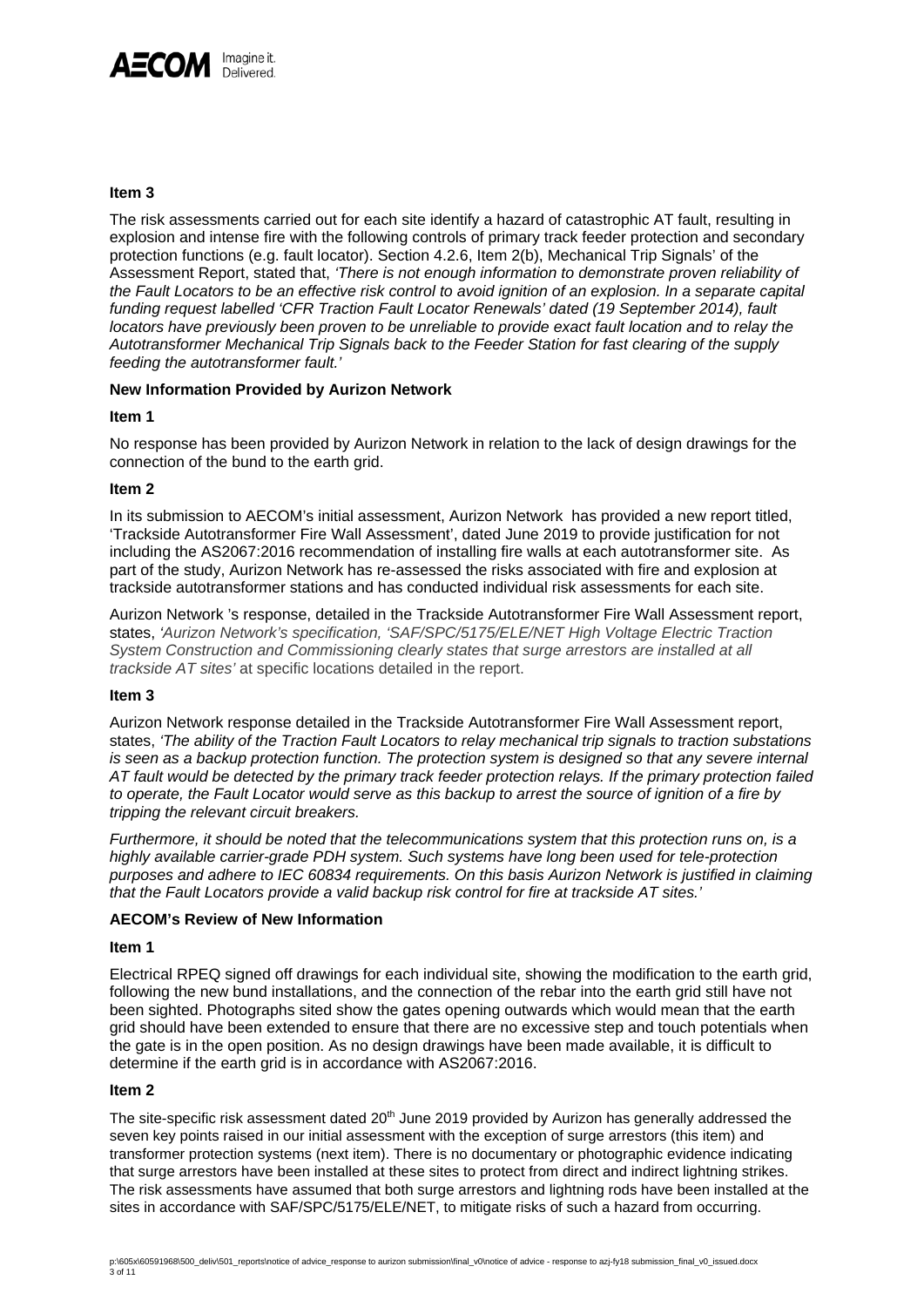

**Item 3** 

The risk assessments carried out for each site identify a hazard of catastrophic AT fault, resulting in explosion and intense fire with the following controls of primary track feeder protection and secondary protection functions (e.g. fault locator). Section 4.2.6, Item 2(b), Mechanical Trip Signals' of the Assessment Report, stated that, *'There is not enough information to demonstrate proven reliability of the Fault Locators to be an effective risk control to avoid ignition of an explosion. In a separate capital funding request labelled 'CFR Traction Fault Locator Renewals' dated (19 September 2014), fault locators have previously been proven to be unreliable to provide exact fault location and to relay the Autotransformer Mechanical Trip Signals back to the Feeder Station for fast clearing of the supply feeding the autotransformer fault.'*

## **New Information Provided by Aurizon Network**

#### **Item 1**

No response has been provided by Aurizon Network in relation to the lack of design drawings for the connection of the bund to the earth grid.

#### **Item 2**

In its submission to AECOM's initial assessment, Aurizon Network has provided a new report titled, 'Trackside Autotransformer Fire Wall Assessment', dated June 2019 to provide justification for not including the AS2067:2016 recommendation of installing fire walls at each autotransformer site. As part of the study, Aurizon Network has re-assessed the risks associated with fire and explosion at trackside autotransformer stations and has conducted individual risk assessments for each site.

Aurizon Network 's response, detailed in the Trackside Autotransformer Fire Wall Assessment report, states, *'Aurizon Network's specification, 'SAF/SPC/5175/ELE/NET High Voltage Electric Traction System Construction and Commissioning clearly states that surge arrestors are installed at all trackside AT sites'* at specific locations detailed in the report.

## **Item 3**

Aurizon Network response detailed in the Trackside Autotransformer Fire Wall Assessment report, states, *'The ability of the Traction Fault Locators to relay mechanical trip signals to traction substations is seen as a backup protection function. The protection system is designed so that any severe internal AT fault would be detected by the primary track feeder protection relays. If the primary protection failed to operate, the Fault Locator would serve as this backup to arrest the source of ignition of a fire by tripping the relevant circuit breakers.* 

*Furthermore, it should be noted that the telecommunications system that this protection runs on, is a highly available carrier-grade PDH system. Such systems have long been used for tele-protection purposes and adhere to IEC 60834 requirements. On this basis Aurizon Network is justified in claiming that the Fault Locators provide a valid backup risk control for fire at trackside AT sites.'* 

## **AECOM's Review of New Information**

#### **Item 1**

Electrical RPEQ signed off drawings for each individual site, showing the modification to the earth grid, following the new bund installations, and the connection of the rebar into the earth grid still have not been sighted. Photographs sited show the gates opening outwards which would mean that the earth grid should have been extended to ensure that there are no excessive step and touch potentials when the gate is in the open position. As no design drawings have been made available, it is difficult to determine if the earth grid is in accordance with AS2067:2016.

#### **Item 2**

The site-specific risk assessment dated 20<sup>th</sup> June 2019 provided by Aurizon has generally addressed the seven key points raised in our initial assessment with the exception of surge arrestors (this item) and transformer protection systems (next item). There is no documentary or photographic evidence indicating that surge arrestors have been installed at these sites to protect from direct and indirect lightning strikes. The risk assessments have assumed that both surge arrestors and lightning rods have been installed at the sites in accordance with SAF/SPC/5175/ELE/NET, to mitigate risks of such a hazard from occurring.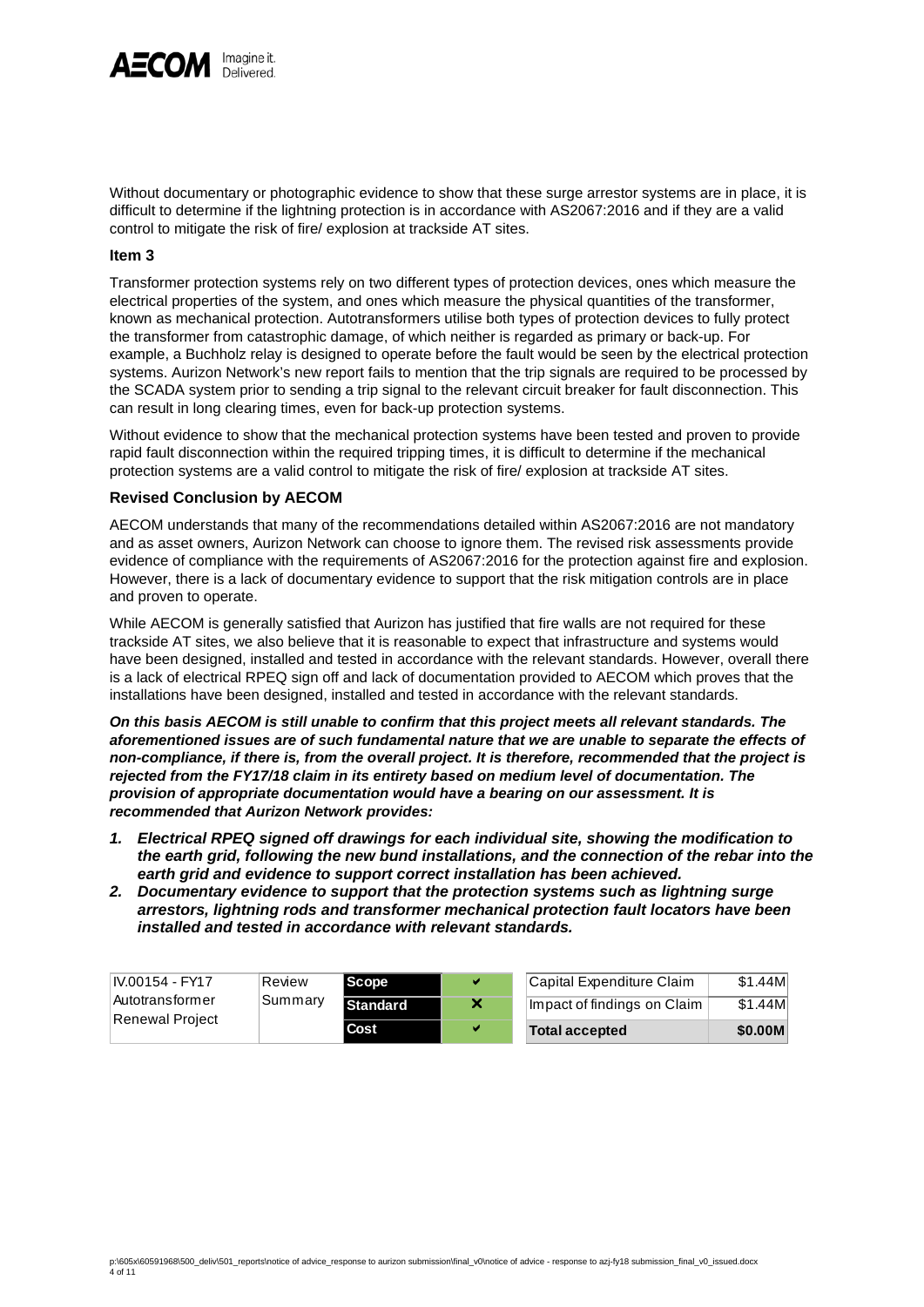

Without documentary or photographic evidence to show that these surge arrestor systems are in place, it is difficult to determine if the lightning protection is in accordance with AS2067:2016 and if they are a valid control to mitigate the risk of fire/ explosion at trackside AT sites.

#### **Item 3**

Transformer protection systems rely on two different types of protection devices, ones which measure the electrical properties of the system, and ones which measure the physical quantities of the transformer, known as mechanical protection. Autotransformers utilise both types of protection devices to fully protect the transformer from catastrophic damage, of which neither is regarded as primary or back-up. For example, a Buchholz relay is designed to operate before the fault would be seen by the electrical protection systems. Aurizon Network's new report fails to mention that the trip signals are required to be processed by the SCADA system prior to sending a trip signal to the relevant circuit breaker for fault disconnection. This can result in long clearing times, even for back-up protection systems.

Without evidence to show that the mechanical protection systems have been tested and proven to provide rapid fault disconnection within the required tripping times, it is difficult to determine if the mechanical protection systems are a valid control to mitigate the risk of fire/ explosion at trackside AT sites.

#### **Revised Conclusion by AECOM**

AECOM understands that many of the recommendations detailed within AS2067:2016 are not mandatory and as asset owners, Aurizon Network can choose to ignore them. The revised risk assessments provide evidence of compliance with the requirements of AS2067:2016 for the protection against fire and explosion. However, there is a lack of documentary evidence to support that the risk mitigation controls are in place and proven to operate.

While AECOM is generally satisfied that Aurizon has justified that fire walls are not required for these trackside AT sites, we also believe that it is reasonable to expect that infrastructure and systems would have been designed, installed and tested in accordance with the relevant standards. However, overall there is a lack of electrical RPEQ sign off and lack of documentation provided to AECOM which proves that the installations have been designed, installed and tested in accordance with the relevant standards.

*On this basis AECOM is still unable to confirm that this project meets all relevant standards. The aforementioned issues are of such fundamental nature that we are unable to separate the effects of non-compliance, if there is, from the overall project. It is therefore, recommended that the project is rejected from the FY17/18 claim in its entirety based on medium level of documentation. The provision of appropriate documentation would have a bearing on our assessment. It is recommended that Aurizon Network provides:* 

- *1. Electrical RPEQ signed off drawings for each individual site, showing the modification to the earth grid, following the new bund installations, and the connection of the rebar into the earth grid and evidence to support correct installation has been achieved.*
- *2. Documentary evidence to support that the protection systems such as lightning surge arrestors, lightning rods and transformer mechanical protection fault locators have been installed and tested in accordance with relevant standards.*

| IV.00154 - FY17 | Review  | Scope           | v | Capital Expenditure Claim   | \$1.44M |
|-----------------|---------|-----------------|---|-----------------------------|---------|
| Autotransformer | Summary | <b>Standard</b> |   | Impact of findings on Claim | \$1.44M |
| Renewal Project |         | Cost            | v | <b>Total accepted</b>       | \$0.00M |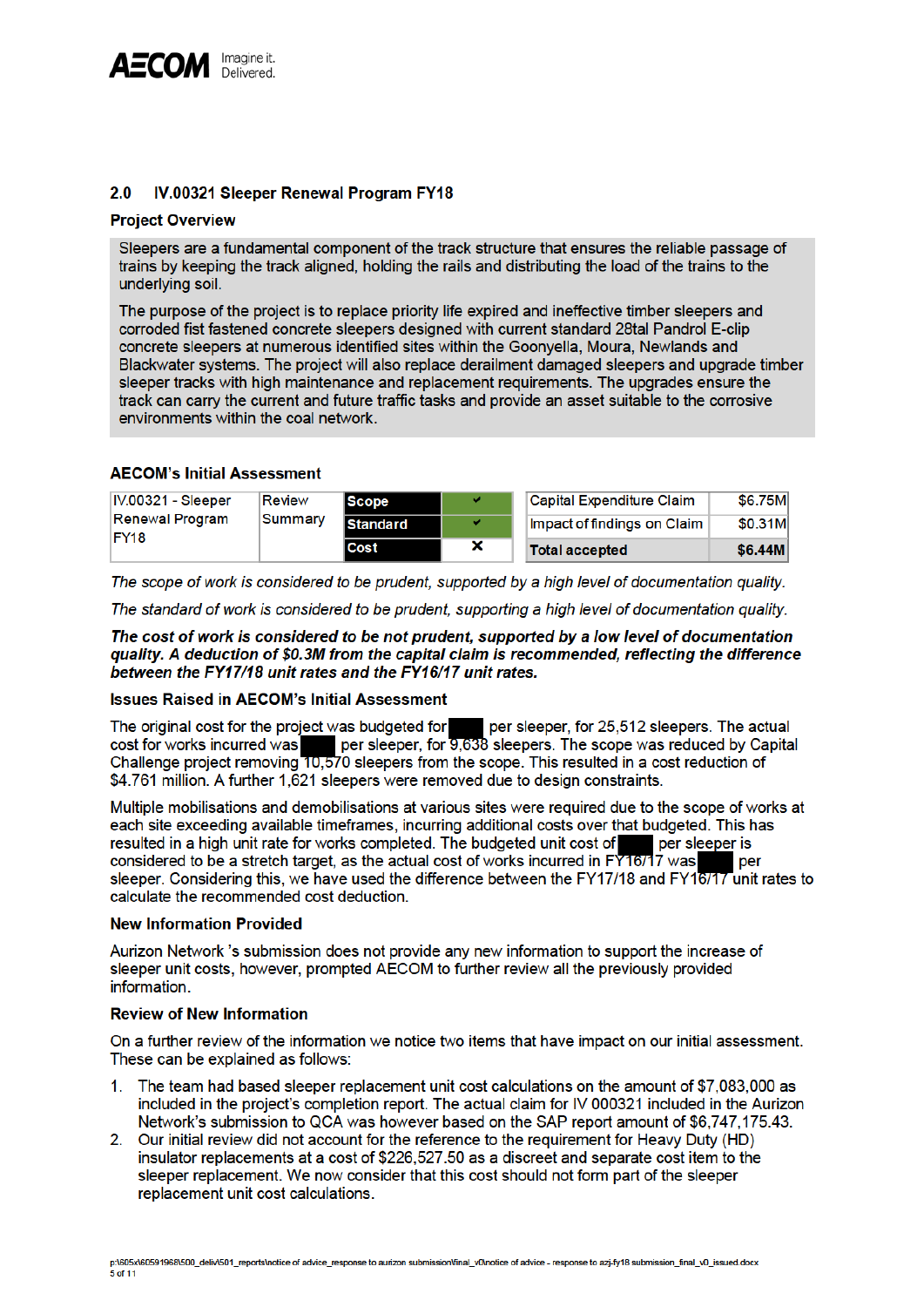

#### $2.0$ IV.00321 Sleeper Renewal Program FY18

## **Project Overview**

Sleepers are a fundamental component of the track structure that ensures the reliable passage of trains by keeping the track aligned, holding the rails and distributing the load of the trains to the underlying soil.

The purpose of the project is to replace priority life expired and ineffective timber sleepers and corroded fist fastened concrete sleepers designed with current standard 28tal Pandrol E-clip concrete sleepers at numerous identified sites within the Goonyella, Moura, Newlands and Blackwater systems. The project will also replace derailment damaged sleepers and upgrade timber sleeper tracks with high maintenance and replacement requirements. The upgrades ensure the track can carry the current and future traffic tasks and provide an asset suitable to the corrosive environments within the coal network.

# **AECOM's Initial Assessment**

| IV.00321 - Sleeper<br>Review<br>Renewal Program |         | <b>Scope</b>    | v | Capital Expenditure Claim   | \$6.75M |
|-------------------------------------------------|---------|-----------------|---|-----------------------------|---------|
|                                                 | Summary | <b>Standard</b> | v | Impact of findings on Claim | \$0.31M |
| FY <sub>18</sub>                                |         | Cost            | × | <b>Total accepted</b>       | \$6,44M |

The scope of work is considered to be prudent, supported by a high level of documentation quality.

The standard of work is considered to be prudent, supporting a high level of documentation quality.

The cost of work is considered to be not prudent, supported by a low level of documentation quality. A deduction of \$0.3M from the capital claim is recommended, reflecting the difference between the FY17/18 unit rates and the FY16/17 unit rates.

# **Issues Raised in AECOM's Initial Assessment**

The original cost for the project was budgeted for per sleeper, for 25,512 sleepers. The actual cost for works incurred was<br>Challenge project removing 10,570 sleepers from the scope. This resulted in a cost reduction of \$4.761 million. A further 1.621 sleepers were removed due to design constraints.

Multiple mobilisations and demobilisations at various sites were required due to the scope of works at each site exceeding available timeframes, incurring additional costs over that budgeted. This has per sleeper is resulted in a high unit rate for works completed. The budgeted unit cost of considered to be a stretch target, as the actual cost of works incurred in FY16/17 was per sleeper. Considering this, we have used the difference between the FY17/18 and FY16/17 unit rates to calculate the recommended cost deduction.

## **New Information Provided**

Aurizon Network 's submission does not provide any new information to support the increase of sleeper unit costs, however, prompted AECOM to further review all the previously provided information.

# **Review of New Information**

On a further review of the information we notice two items that have impact on our initial assessment. These can be explained as follows:

- The team had based sleeper replacement unit cost calculations on the amount of \$7,083,000 as 1. included in the project's completion report. The actual claim for IV 000321 included in the Aurizon Network's submission to QCA was however based on the SAP report amount of \$6,747,175.43.
- 2. Our initial review did not account for the reference to the requirement for Heavy Duty (HD) insulator replacements at a cost of \$226,527.50 as a discreet and separate cost item to the sleeper replacement. We now consider that this cost should not form part of the sleeper replacement unit cost calculations.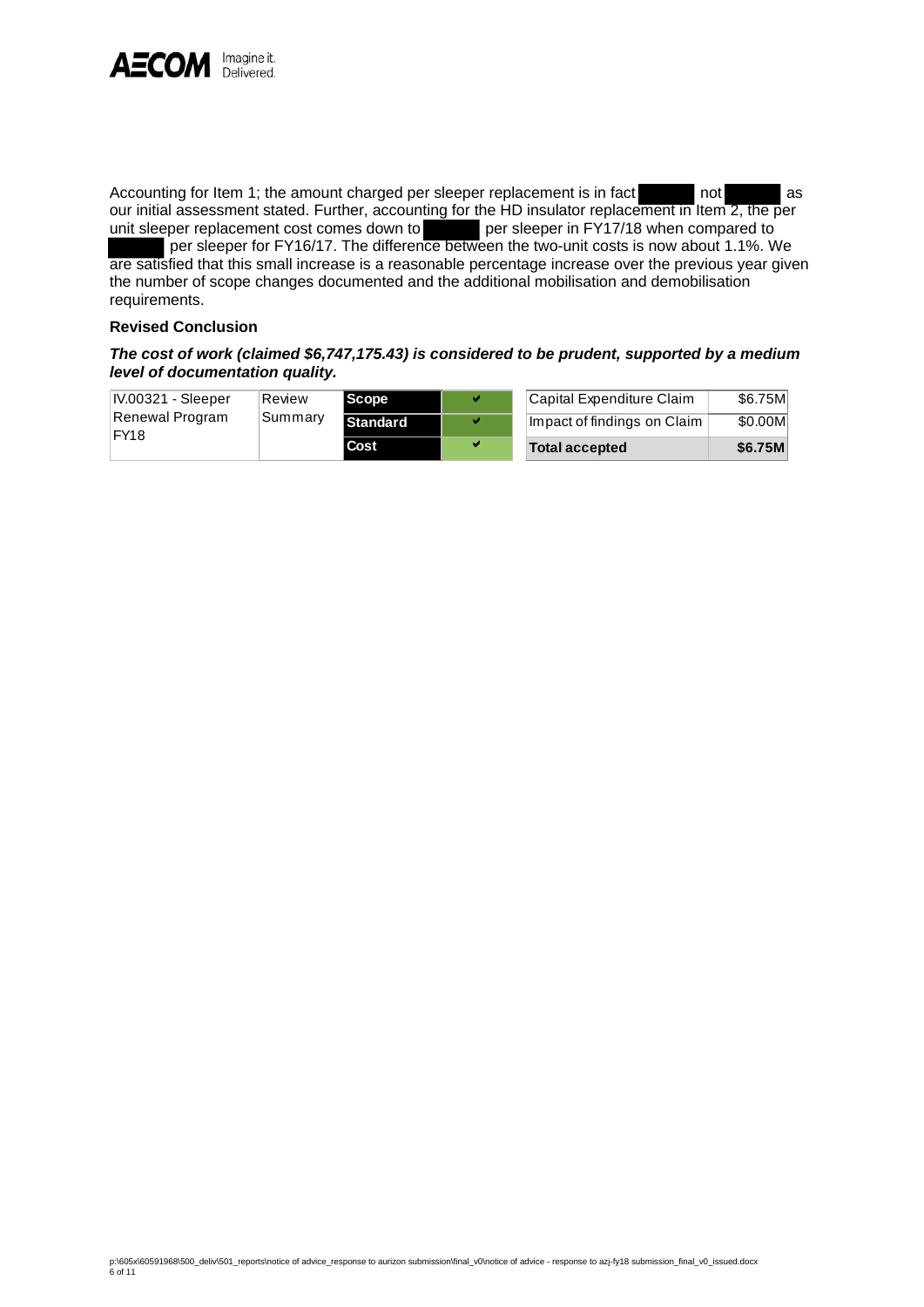

Accounting for Item 1; the amount charged per sleeper replacement is in fact not as our initial assessment stated. Further, accounting for the HD insulator replacement in Item 2, the per unit sleeper replacement cost comes down to per sleeper in FY17/18 when compared to per sleeper for FY16/17. The difference between the two-unit costs is now about 1.1%. We are satisfied that this small increase is a reasonable percentage increase over the previous year given the number of scope changes documented and the additional mobilisation and demobilisation requirements.

## **Revised Conclusion**

# *The cost of work (claimed \$6,747,175.43) is considered to be prudent, supported by a medium level of documentation quality.*

| IV.00321 - Sleeper | Review  | <b>Scope</b>    | v | Capital Expenditure Claim   | \$6.75M |
|--------------------|---------|-----------------|---|-----------------------------|---------|
| Renewal Program    | Summary | <b>Standard</b> | w | Impact of findings on Claim | \$0.00M |
| IFY18              |         | l Cost          | v | <b>Total accepted</b>       | \$6.75M |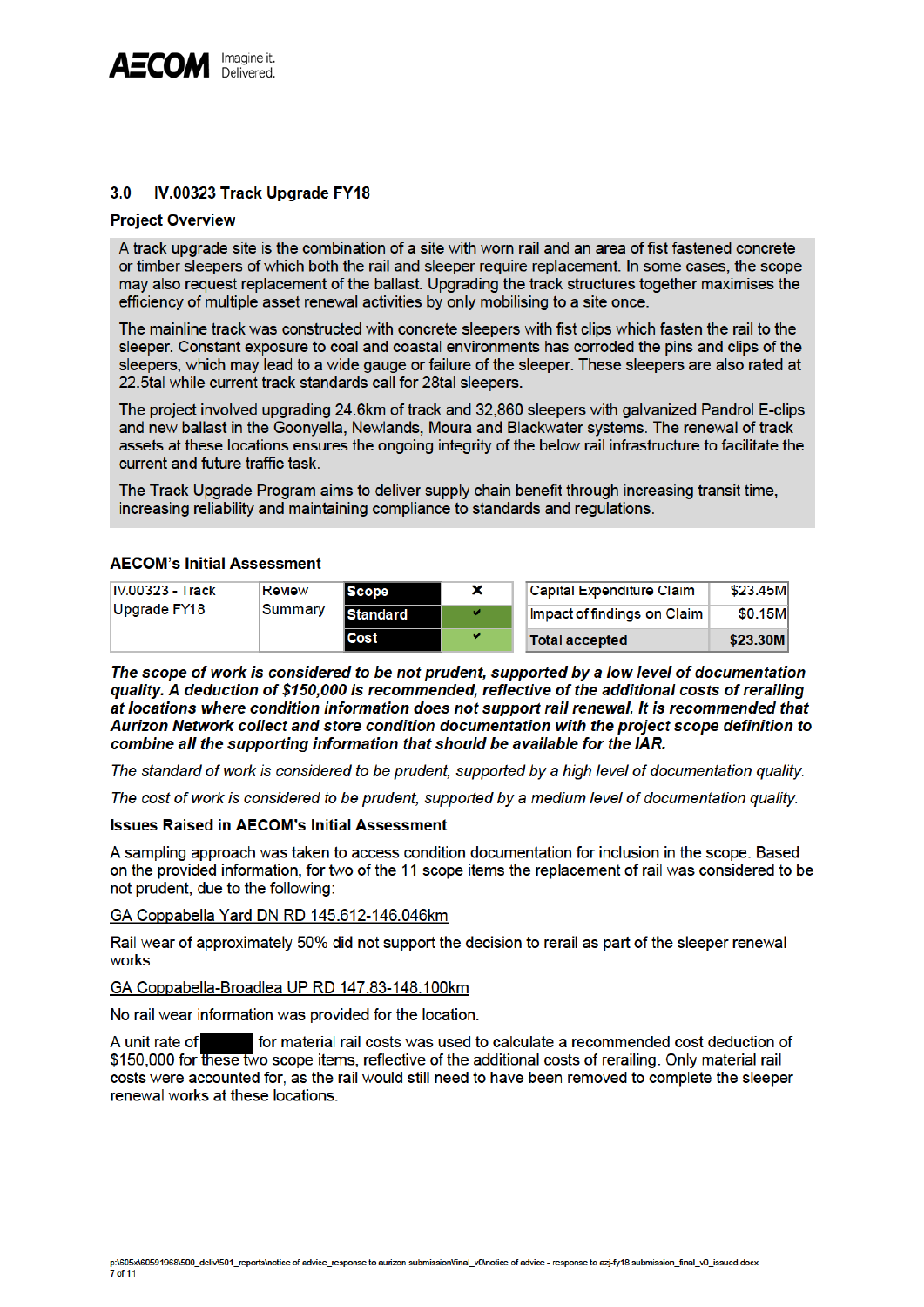

#### $3.0$ IV.00323 Track Upgrade FY18

#### **Project Overview**

A track upgrade site is the combination of a site with worn rail and an area of fist fastened concrete or timber sleepers of which both the rail and sleeper require replacement. In some cases, the scope may also request replacement of the ballast. Upgrading the track structures together maximises the efficiency of multiple asset renewal activities by only mobilising to a site once.

The mainline track was constructed with concrete sleepers with fist clips which fasten the rail to the sleeper. Constant exposure to coal and coastal environments has corroded the pins and clips of the sleepers, which may lead to a wide gauge or failure of the sleeper. These sleepers are also rated at 22.5tal while current track standards call for 28tal sleepers.

The project involved upgrading 24.6km of track and 32.860 sleepers with galvanized Pandrol E-clips and new ballast in the Goonvella, Newlands, Moura and Blackwater systems. The renewal of track assets at these locations ensures the ongoing integrity of the below rail infrastructure to facilitate the current and future traffic task.

The Track Upgrade Program aims to deliver supply chain benefit through increasing transit time, increasing reliability and maintaining compliance to standards and regulations.

## **AECOM's Initial Assessment**

| <b>IV.00323 - Track</b> | <b>Review</b> | <b>Scope</b>    | × | <b>Capital Expenditure Claim</b> | \$23.45M |
|-------------------------|---------------|-----------------|---|----------------------------------|----------|
| Upgrade FY18            | Summary       | <b>Standard</b> | v | Impact of findings on Claim      | \$0.15M  |
|                         |               | Cost            | v | <b>Total accepted</b>            | \$23,30M |

The scope of work is considered to be not prudent, supported by a low level of documentation quality. A deduction of \$150,000 is recommended, reflective of the additional costs of rerailing at locations where condition information does not support rail renewal. It is recommended that Aurizon Network collect and store condition documentation with the project scope definition to combine all the supporting information that should be available for the IAR.

The standard of work is considered to be prudent, supported by a high level of documentation quality.

The cost of work is considered to be prudent, supported by a medium level of documentation quality.

#### **Issues Raised in AECOM's Initial Assessment**

A sampling approach was taken to access condition documentation for inclusion in the scope. Based on the provided information, for two of the 11 scope items the replacement of rail was considered to be not prudent, due to the following:

#### GA Coppabella Yard DN RD 145.612-146.046km

Rail wear of approximately 50% did not support the decision to rerail as part of the sleeper renewal works.

#### GA Coppabella-Broadlea UP RD 147.83-148.100km

No rail wear information was provided for the location.

A unit rate of for material rail costs was used to calculate a recommended cost deduction of \$150,000 for these two scope items, reflective of the additional costs of rerailing. Only material rail costs were accounted for, as the rail would still need to have been removed to complete the sleeper renewal works at these locations.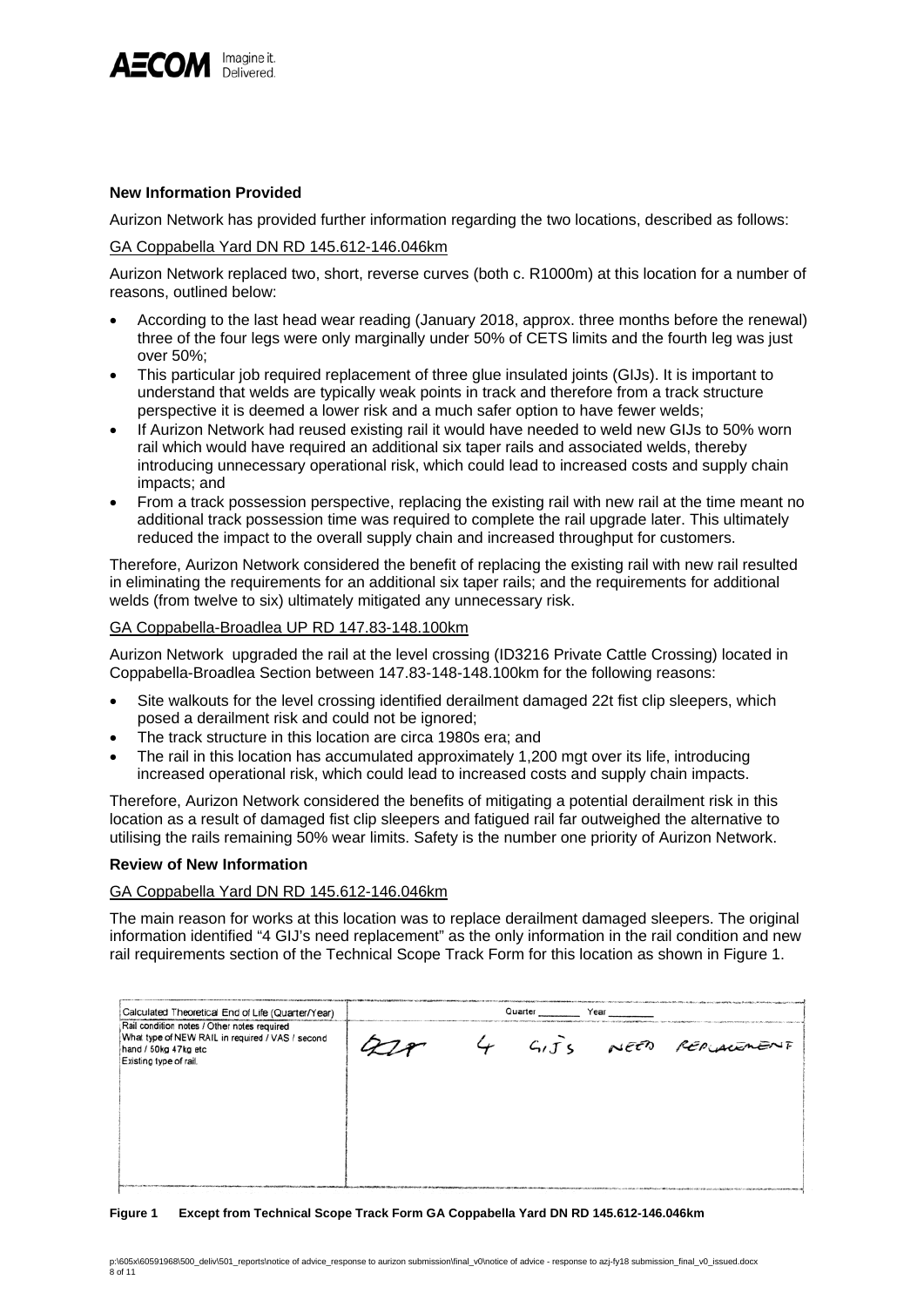

### **New Information Provided**

Aurizon Network has provided further information regarding the two locations, described as follows:

#### GA Coppabella Yard DN RD 145.612-146.046km

Aurizon Network replaced two, short, reverse curves (both c. R1000m) at this location for a number of reasons, outlined below:

- According to the last head wear reading (January 2018, approx. three months before the renewal) three of the four legs were only marginally under 50% of CETS limits and the fourth leg was just over 50%;
- This particular job required replacement of three glue insulated joints (GIJs). It is important to understand that welds are typically weak points in track and therefore from a track structure perspective it is deemed a lower risk and a much safer option to have fewer welds;
- If Aurizon Network had reused existing rail it would have needed to weld new GIJs to 50% worn rail which would have required an additional six taper rails and associated welds, thereby introducing unnecessary operational risk, which could lead to increased costs and supply chain impacts; and
- From a track possession perspective, replacing the existing rail with new rail at the time meant no additional track possession time was required to complete the rail upgrade later. This ultimately reduced the impact to the overall supply chain and increased throughput for customers.

Therefore, Aurizon Network considered the benefit of replacing the existing rail with new rail resulted in eliminating the requirements for an additional six taper rails; and the requirements for additional welds (from twelve to six) ultimately mitigated any unnecessary risk.

#### GA Coppabella-Broadlea UP RD 147.83-148.100km

Aurizon Network upgraded the rail at the level crossing (ID3216 Private Cattle Crossing) located in Coppabella-Broadlea Section between 147.83-148-148.100km for the following reasons:

- Site walkouts for the level crossing identified derailment damaged 22t fist clip sleepers, which posed a derailment risk and could not be ignored;
- The track structure in this location are circa 1980s era; and
- The rail in this location has accumulated approximately 1,200 mgt over its life, introducing increased operational risk, which could lead to increased costs and supply chain impacts.

Therefore, Aurizon Network considered the benefits of mitigating a potential derailment risk in this location as a result of damaged fist clip sleepers and fatigued rail far outweighed the alternative to utilising the rails remaining 50% wear limits. Safety is the number one priority of Aurizon Network.

## **Review of New Information**

#### GA Coppabella Yard DN RD 145.612-146.046km

The main reason for works at this location was to replace derailment damaged sleepers. The original information identified "4 GIJ's need replacement" as the only information in the rail condition and new rail requirements section of the Technical Scope Track Form for this location as shown in Figure 1.

| Calculated Theoretical End of Life (Quarter/Year)                                                                                                 |  | Quarter | Year |                         |
|---------------------------------------------------------------------------------------------------------------------------------------------------|--|---------|------|-------------------------|
| Rail condition notes / Other notes required<br>What type of NEW RAIL in required / VAS / second<br>hand / 50kg 47kg etc<br>Existing type of rail. |  |         |      | 4 GITS NEED REPLACEMENT |
|                                                                                                                                                   |  |         |      |                         |
|                                                                                                                                                   |  |         |      |                         |
|                                                                                                                                                   |  |         |      |                         |

#### **Figure 1 Except from Technical Scope Track Form GA Coppabella Yard DN RD 145.612-146.046km**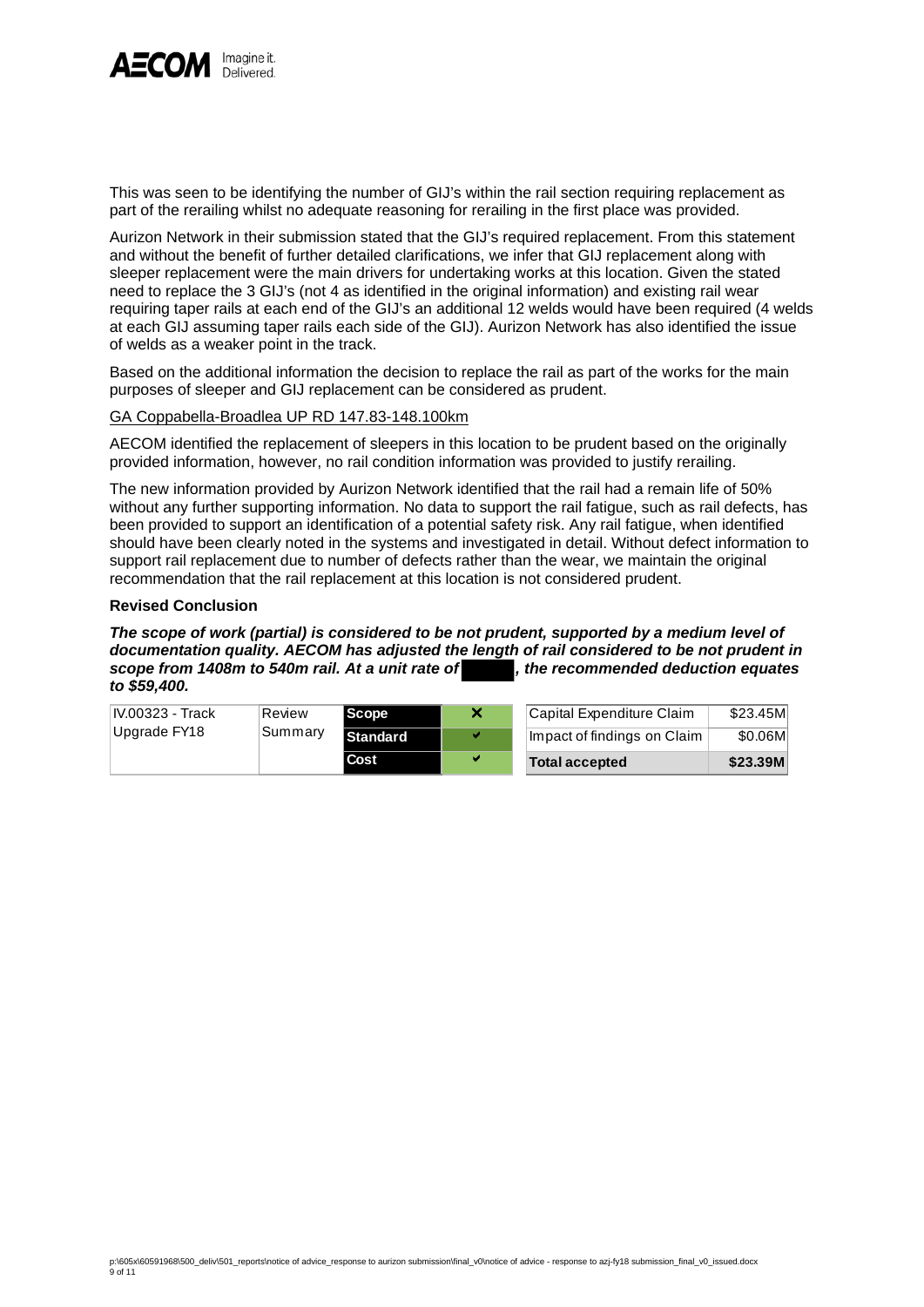

This was seen to be identifying the number of GIJ's within the rail section requiring replacement as part of the rerailing whilst no adequate reasoning for rerailing in the first place was provided.

Aurizon Network in their submission stated that the GIJ's required replacement. From this statement and without the benefit of further detailed clarifications, we infer that GIJ replacement along with sleeper replacement were the main drivers for undertaking works at this location. Given the stated need to replace the 3 GIJ's (not 4 as identified in the original information) and existing rail wear requiring taper rails at each end of the GIJ's an additional 12 welds would have been required (4 welds at each GIJ assuming taper rails each side of the GIJ). Aurizon Network has also identified the issue of welds as a weaker point in the track.

Based on the additional information the decision to replace the rail as part of the works for the main purposes of sleeper and GIJ replacement can be considered as prudent.

# GA Coppabella-Broadlea UP RD 147.83-148.100km

AECOM identified the replacement of sleepers in this location to be prudent based on the originally provided information, however, no rail condition information was provided to justify rerailing.

The new information provided by Aurizon Network identified that the rail had a remain life of 50% without any further supporting information. No data to support the rail fatigue, such as rail defects, has been provided to support an identification of a potential safety risk. Any rail fatigue, when identified should have been clearly noted in the systems and investigated in detail. Without defect information to support rail replacement due to number of defects rather than the wear, we maintain the original recommendation that the rail replacement at this location is not considered prudent.

# **Revised Conclusion**

*The scope of work (partial) is considered to be not prudent, supported by a medium level of documentation quality. AECOM has adjusted the length of rail considered to be not prudent in scope from 1408m to 540m rail. At a unit rate of , the recommended deduction equates to \$59,400.* 

| IV.00323 - Track | ∣Review | l Scope         | $\boldsymbol{\mathsf{x}}$ | Capital Expenditure Claim   | \$23.45M |
|------------------|---------|-----------------|---------------------------|-----------------------------|----------|
| Upgrade FY18     | Summary | <b>Standard</b> |                           | Impact of findings on Claim | \$0.06M  |
|                  |         | Cost            | v                         | <b>Total accepted</b>       | \$23.39M |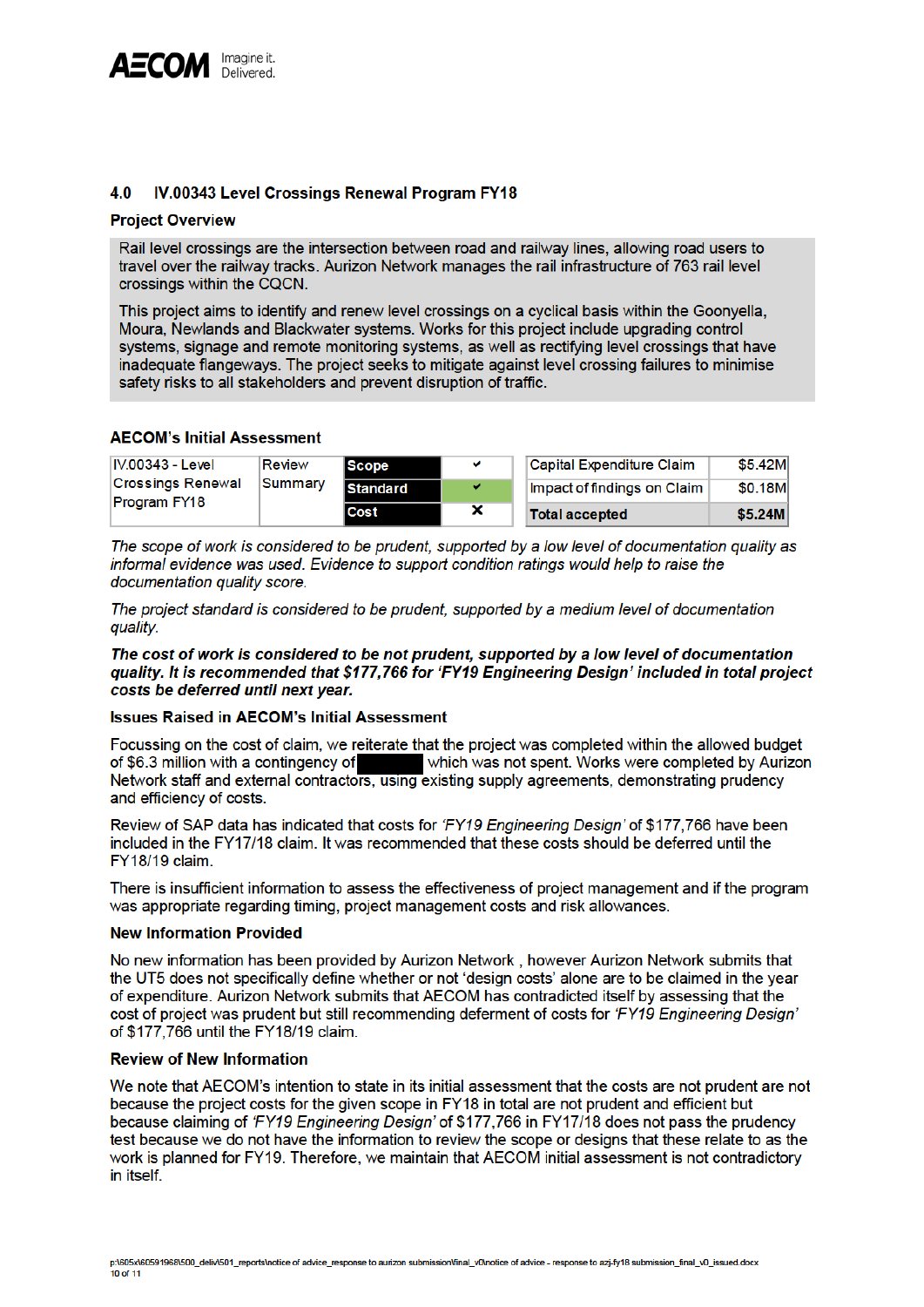

#### IV.00343 Level Crossings Renewal Program FY18 4.0

### **Project Overview**

Rail level crossings are the intersection between road and railway lines, allowing road users to travel over the railway tracks. Aurizon Network manages the rail infrastructure of 763 rail level crossings within the CQCN.

This project aims to identify and renew level crossings on a cyclical basis within the Goonyella, Moura, Newlands and Blackwater systems. Works for this project include upgrading control systems, signage and remote monitoring systems, as well as rectifying level crossings that have inadequate flangeways. The project seeks to mitigate against level crossing failures to minimise safety risks to all stakeholders and prevent disruption of traffic.

# **AECOM's Initial Assessment**

| IV.00343 - Level         | <b>Review</b> | <b>Scope</b>    | v | Capital Expenditure Claim   | \$5.42M |
|--------------------------|---------------|-----------------|---|-----------------------------|---------|
| <b>Crossings Renewal</b> | Summary       | <b>Standard</b> | v | Impact of findings on Claim | \$0.18M |
| Program FY18             |               | Cost            | × | <b>Total accepted</b>       | \$5.24M |

The scope of work is considered to be prudent, supported by a low level of documentation quality as informal evidence was used. Evidence to support condition ratings would help to raise the documentation quality score.

The project standard is considered to be prudent, supported by a medium level of documentation quality.

The cost of work is considered to be not prudent, supported by a low level of documentation quality. It is recommended that \$177,766 for 'FY19 Engineering Design' included in total project costs be deferred until next year.

## **Issues Raised in AECOM's Initial Assessment**

Focussing on the cost of claim, we reiterate that the project was completed within the allowed budget of \$6.3 million with a contingency of which was not spent. Works were completed by Aurizon Network staff and external contractors, using existing supply agreements, demonstrating prudency and efficiency of costs.

Review of SAP data has indicated that costs for 'FY19 Engineering Design' of \$177,766 have been included in the FY17/18 claim. It was recommended that these costs should be deferred until the FY18/19 claim.

There is insufficient information to assess the effectiveness of project management and if the program was appropriate regarding timing, project management costs and risk allowances.

#### **New Information Provided**

No new information has been provided by Aurizon Network, however Aurizon Network submits that the UT5 does not specifically define whether or not 'design costs' alone are to be claimed in the year of expenditure. Aurizon Network submits that AECOM has contradicted itself by assessing that the cost of project was prudent but still recommending deferment of costs for 'FY19 Engineering Design' of \$177,766 until the FY18/19 claim.

## **Review of New Information**

We note that AECOM's intention to state in its initial assessment that the costs are not prudent are not because the project costs for the given scope in FY18 in total are not prudent and efficient but because claiming of 'FY19 Engineering Design' of \$177,766 in FY17/18 does not pass the prudency test because we do not have the information to review the scope or designs that these relate to as the work is planned for FY19. Therefore, we maintain that AECOM initial assessment is not contradictory in itself.